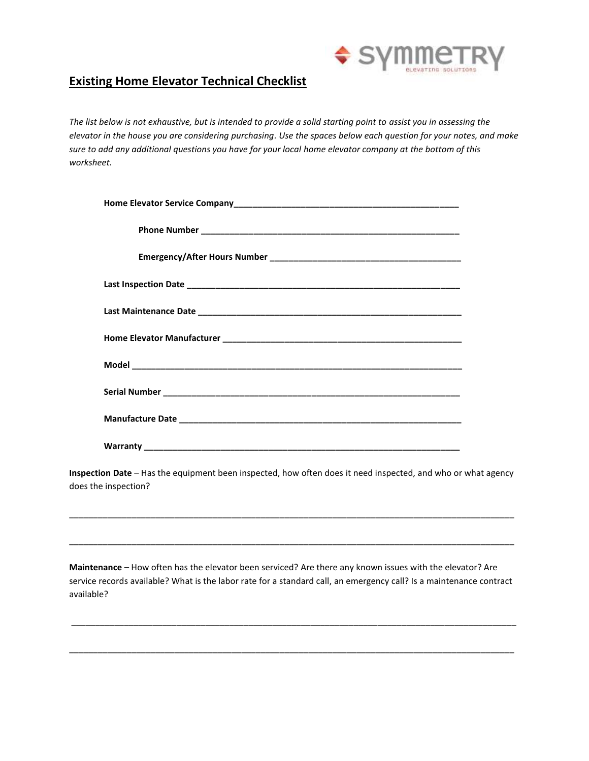

## **Existing Home Elevator Technical Checklist**

*The list below is not exhaustive, but is intended to provide a solid starting point to assist you in assessing the elevator in the house you are considering purchasing. Use the spaces below each question for your notes, and make sure to add any additional questions you have for your local home elevator company at the bottom of this worksheet.*

**Inspection Date** – Has the equipment been inspected, how often does it need inspected, and who or what agency does the inspection?

\_\_\_\_\_\_\_\_\_\_\_\_\_\_\_\_\_\_\_\_\_\_\_\_\_\_\_\_\_\_\_\_\_\_\_\_\_\_\_\_\_\_\_\_\_\_\_\_\_\_\_\_\_\_\_\_\_\_\_\_\_\_\_\_\_\_\_\_\_\_\_\_\_\_\_\_\_\_\_\_\_\_\_\_\_\_\_\_\_\_\_\_\_

\_\_\_\_\_\_\_\_\_\_\_\_\_\_\_\_\_\_\_\_\_\_\_\_\_\_\_\_\_\_\_\_\_\_\_\_\_\_\_\_\_\_\_\_\_\_\_\_\_\_\_\_\_\_\_\_\_\_\_\_\_\_\_\_\_\_\_\_\_\_\_\_\_\_\_\_\_\_\_\_\_\_\_\_\_\_\_\_\_\_\_\_\_

**Maintenance** – How often has the elevator been serviced? Are there any known issues with the elevator? Are service records available? What is the labor rate for a standard call, an emergency call? Is a maintenance contract available?

\_\_\_\_\_\_\_\_\_\_\_\_\_\_\_\_\_\_\_\_\_\_\_\_\_\_\_\_\_\_\_\_\_\_\_\_\_\_\_\_\_\_\_\_\_\_\_\_\_\_\_\_\_\_\_\_\_\_\_\_\_\_\_\_\_\_\_\_\_\_\_\_\_\_\_\_\_\_\_\_\_\_\_\_\_\_\_\_\_\_\_\_\_

\_\_\_\_\_\_\_\_\_\_\_\_\_\_\_\_\_\_\_\_\_\_\_\_\_\_\_\_\_\_\_\_\_\_\_\_\_\_\_\_\_\_\_\_\_\_\_\_\_\_\_\_\_\_\_\_\_\_\_\_\_\_\_\_\_\_\_\_\_\_\_\_\_\_\_\_\_\_\_\_\_\_\_\_\_\_\_\_\_\_\_\_\_